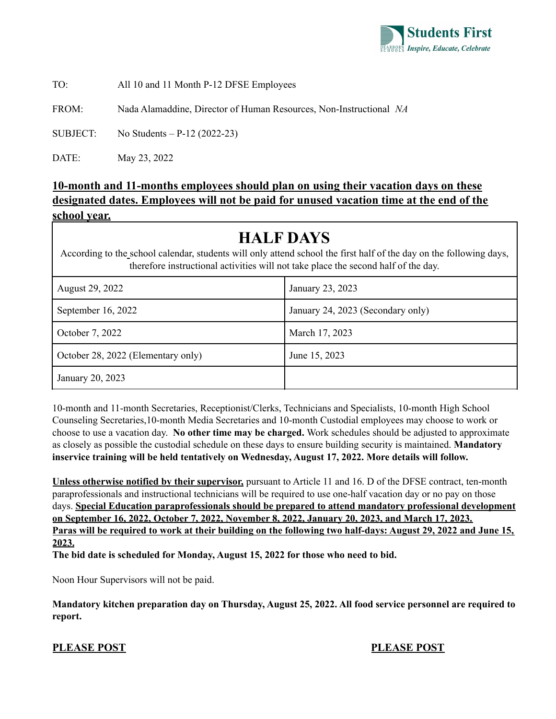

TO: All 10 and 11 Month P-12 DFSE Employees

FROM: Nada Alamaddine, Director of Human Resources, Non-Instructional *NA*

SUBJECT: No Students – P-12 (2022-23)

DATE: May 23, 2022

## **10-month and 11-months employees should plan on using their vacation days on these designated dates. Employees will not be paid for unused vacation time at the end of the school year. 10**

## **HALF DAYS**

According to the school calendar, students will only attend school the first half of the day on the following days, therefore instructional activities will not take place the second half of the day.

| <b>August 29, 2022</b>             | January 23, 2023                  |
|------------------------------------|-----------------------------------|
| September $16, 2022$               | January 24, 2023 (Secondary only) |
| October 7, 2022                    | March 17, 2023                    |
| October 28, 2022 (Elementary only) | June 15, 2023                     |
| January 20, 2023                   |                                   |

10-month and 11-month Secretaries, Receptionist/Clerks, Technicians and Specialists, 10-month High School Counseling Secretaries,10-month Media Secretaries and 10-month Custodial employees may choose to work or choose to use a vacation day. **No other time may be charged.** Work schedules should be adjusted to approximate as closely as possible the custodial schedule on these days to ensure building security is maintained. **Mandatory inservice training will be held tentatively on Wednesday, August 17, 2022. More details will follow.**

**Unless otherwise notified by their supervisor,** pursuant to Article 11 and 16. D of the DFSE contract, ten-month paraprofessionals and instructional technicians will be required to use one-half vacation day or no pay on those days. **Special Education paraprofessionals should be prepared to attend mandatory professional development on September 16, 2022, October 7, 2022, November 8, 2022, January 20, 2023, and March 17, 2023.** Paras will be required to work at their building on the following two half-days: August 29, 2022 and June 15, **2023.**

**The bid date is scheduled for Monday, August 15, 2022 for those who need to bid.**

Noon Hour Supervisors will not be paid.

**Mandatory kitchen preparation day on Thursday, August 25, 2022. All food service personnel are required to report.**

#### **PLEASE POST PLEASE POST**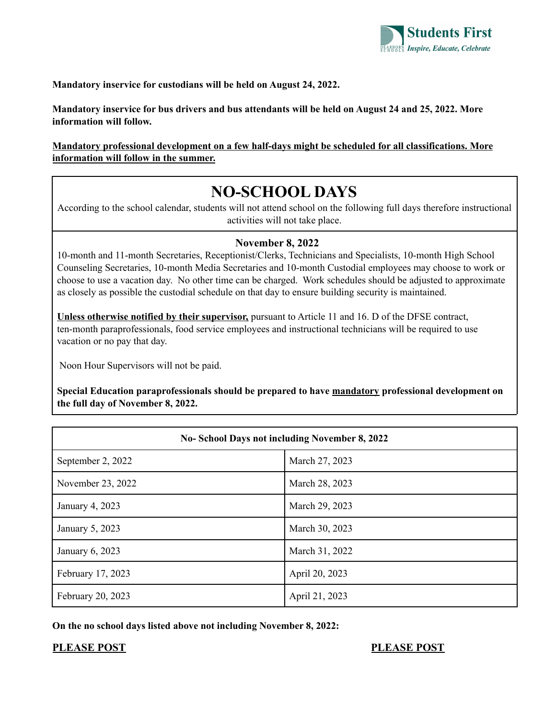

**Mandatory inservice for custodians will be held on August 24, 2022.**

Mandatory inservice for bus drivers and bus attendants will be held on August 24 and 25, 2022. More **information will follow.**

**Mandatory professional development on a few half-days might be scheduled for all classifications. More information will follow in the summer.**

# **NO-SCHOOL DAYS**

According to the school calendar, students will not attend school on the following full days therefore instructional activities will not take place.

### **November 8, 2022**

10-month and 11-month Secretaries, Receptionist/Clerks, Technicians and Specialists, 10-month High School Counseling Secretaries, 10-month Media Secretaries and 10-month Custodial employees may choose to work or choose to use a vacation day. No other time can be charged. Work schedules should be adjusted to approximate as closely as possible the custodial schedule on that day to ensure building security is maintained.

**Unless otherwise notified by their supervisor,** pursuant to Article 11 and 16. D of the DFSE contract, ten-month paraprofessionals, food service employees and instructional technicians will be required to use vacation or no pay that day.

Noon Hour Supervisors will not be paid.

**Special Education paraprofessionals should be prepared to have mandatory professional development on the full day of November 8, 2022.**

| No-School Days not including November 8, 2022 |                |
|-----------------------------------------------|----------------|
| September 2, 2022                             | March 27, 2023 |
| November 23, 2022                             | March 28, 2023 |
| January 4, 2023                               | March 29, 2023 |
| January 5, 2023                               | March 30, 2023 |
| January 6, 2023                               | March 31, 2022 |
| February 17, 2023                             | April 20, 2023 |
| February 20, 2023                             | April 21, 2023 |

**On the no school days listed above not including November 8, 2022:**

**PLEASE POST PLEASE POST**